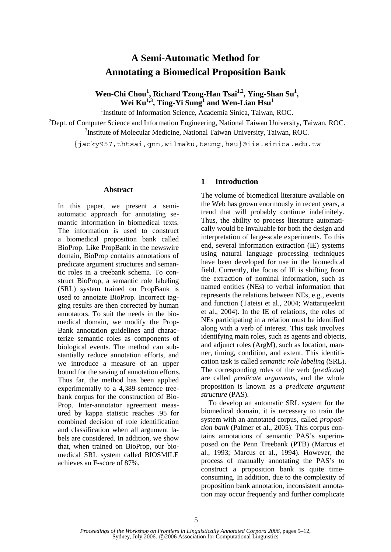# **A Semi-Automatic Method for Annotating a Biomedical Proposition Bank**

Wen-Chi Chou<sup>1</sup>, Richard Tzong-Han Tsai<sup>1,2</sup>, Ying-Shan Su<sup>1</sup>,  $\text{Wei Ku}^{1,3}, \text{Ting-Yi Sung}^{1} \text{ and Wen-Lian Hsu}^{1,3}$ 

<sup>1</sup>Institute of Information Science, Academia Sinica, Taiwan, ROC.

<sup>2</sup>Dept. of Computer Science and Information Engineering, National Taiwan University, Taiwan, ROC. <sup>3</sup>Institute of Molecular Medicine, National Taiwan University, Taiwan, ROC.

{jacky957,thtsai,qnn,wilmaku,tsung,hsu}@iis.sinica.edu.tw

#### **Abstract**

In this paper, we present a semiautomatic approach for annotating semantic information in biomedical texts. The information is used to construct a biomedical proposition bank called BioProp. Like PropBank in the newswire domain, BioProp contains annotations of predicate argument structures and semantic roles in a treebank schema. To construct BioProp, a semantic role labeling (SRL) system trained on PropBank is used to annotate BioProp. Incorrect tagging results are then corrected by human annotators. To suit the needs in the biomedical domain, we modify the Prop-Bank annotation guidelines and characterize semantic roles as components of biological events. The method can substantially reduce annotation efforts, and we introduce a measure of an upper bound for the saving of annotation efforts. Thus far, the method has been applied experimentally to a 4,389-sentence treebank corpus for the construction of Bio-Prop. Inter-annotator agreement measured by kappa statistic reaches .95 for combined decision of role identification and classification when all argument labels are considered. In addition, we show that, when trained on BioProp, our biomedical SRL system called BIOSMILE achieves an F-score of 87%.

#### **1 Introduction**

The volume of biomedical literature available on the Web has grown enormously in recent years, a trend that will probably continue indefinitely. Thus, the ability to process literature automatically would be invaluable for both the design and interpretation of large-scale experiments. To this end, several information extraction (IE) systems using natural language processing techniques have been developed for use in the biomedical field. Currently, the focus of IE is shifting from the extraction of nominal information, such as named entities (NEs) to verbal information that represents the relations between NEs, e.g., events and function (Tateisi et al., 2004; Wattarujeekrit et al., 2004). In the IE of relations, the roles of NEs participating in a relation must be identified along with a verb of interest. This task involves identifying main roles, such as agents and objects, and adjunct roles (ArgM), such as location, manner, timing, condition, and extent. This identification task is called *semantic role labeling* (SRL). The corresponding roles of the verb (*predicate*) are called *predicate arguments*, and the whole proposition is known as a *predicate argument structure* (PAS).

To develop an automatic SRL system for the biomedical domain, it is necessary to train the system with an annotated corpus, called *proposition bank* (Palmer et al., 2005). This corpus contains annotations of semantic PAS's superimposed on the Penn Treebank (PTB) (Marcus et al., 1993; Marcus et al., 1994). However, the process of manually annotating the PAS's to construct a proposition bank is quite timeconsuming. In addition, due to the complexity of proposition bank annotation, inconsistent annotation may occur frequently and further complicate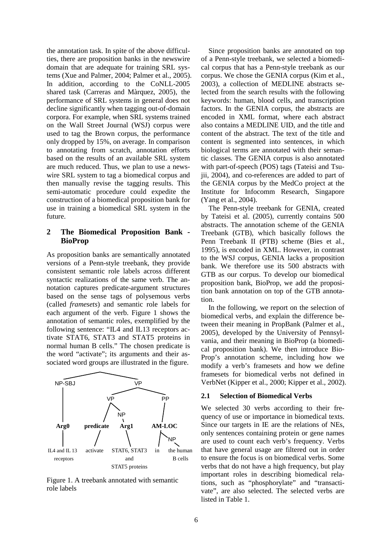the annotation task. In spite of the above difficulties, there are proposition banks in the newswire domain that are adequate for training SRL systems (Xue and Palmer, 2004; Palmer et al., 2005). In addition, according to the CoNLL-2005 shared task (Carreras and Màrquez, 2005), the performance of SRL systems in general does not decline significantly when tagging out-of-domain corpora. For example, when SRL systems trained on the Wall Street Journal (WSJ) corpus were used to tag the Brown corpus, the performance only dropped by 15%, on average. In comparison to annotating from scratch, annotation efforts based on the results of an available SRL system are much reduced. Thus, we plan to use a newswire SRL system to tag a biomedical corpus and then manually revise the tagging results. This semi-automatic procedure could expedite the construction of a biomedical proposition bank for use in training a biomedical SRL system in the future.

#### **2 The Biomedical Proposition Bank - BioProp**

As proposition banks are semantically annotated versions of a Penn-style treebank, they provide consistent semantic role labels across different syntactic realizations of the same verb. The annotation captures predicate-argument structures based on the sense tags of polysemous verbs (called *framesets*) and semantic role labels for each argument of the verb. Figure 1 shows the annotation of semantic roles, exemplified by the following sentence: "IL4 and IL13 receptors activate STAT6, STAT3 and STAT5 proteins in normal human B cells." The chosen predicate is the word "activate"; its arguments and their associated word groups are illustrated in the figure.



Figure 1. A treebank annotated with semantic role labels

Since proposition banks are annotated on top of a Penn-style treebank, we selected a biomedical corpus that has a Penn-style treebank as our corpus. We chose the GENIA corpus (Kim et al., 2003), a collection of MEDLINE abstracts selected from the search results with the following keywords: human, blood cells, and transcription factors. In the GENIA corpus, the abstracts are encoded in XML format, where each abstract also contains a MEDLINE UID, and the title and content of the abstract. The text of the title and content is segmented into sentences, in which biological terms are annotated with their semantic classes. The GENIA corpus is also annotated with part-of-speech (POS) tags (Tateisi and Tsujii, 2004), and co-references are added to part of the GENIA corpus by the MedCo project at the Institute for Infocomm Research, Singapore (Yang et al., 2004).

The Penn-style treebank for GENIA, created by Tateisi et al. (2005), currently contains 500 abstracts. The annotation scheme of the GENIA Treebank (GTB), which basically follows the Penn Treebank II (PTB) scheme (Bies et al., 1995), is encoded in XML. However, in contrast to the WSJ corpus, GENIA lacks a proposition bank. We therefore use its 500 abstracts with GTB as our corpus. To develop our biomedical proposition bank, BioProp, we add the proposition bank annotation on top of the GTB annotation.

In the following, we report on the selection of biomedical verbs, and explain the difference between their meaning in PropBank (Palmer et al., 2005), developed by the University of Pennsylvania, and their meaning in BioProp (a biomedical proposition bank). We then introduce Bio-Prop's annotation scheme, including how we modify a verb's framesets and how we define framesets for biomedical verbs not defined in VerbNet (Kipper et al., 2000; Kipper et al., 2002).

#### **2.1 Selection of Biomedical Verbs**

We selected 30 verbs according to their frequency of use or importance in biomedical texts. Since our targets in IE are the relations of NEs, only sentences containing protein or gene names are used to count each verb's frequency. Verbs that have general usage are filtered out in order to ensure the focus is on biomedical verbs. Some verbs that do not have a high frequency, but play important roles in describing biomedical relations, such as "phosphorylate" and "transactivate", are also selected. The selected verbs are listed in Table 1.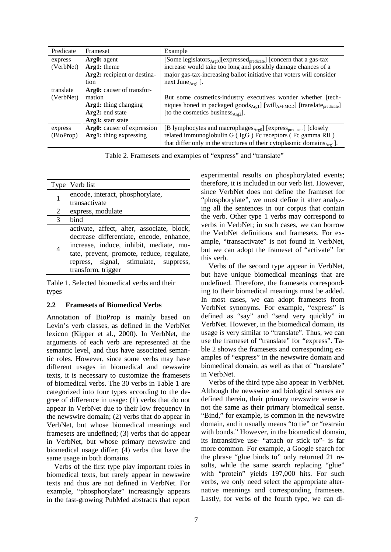| Predicate | Frameset                    | Example                                                                                                      |
|-----------|-----------------------------|--------------------------------------------------------------------------------------------------------------|
| express   | Arg0: agent                 | [Some legislators $_{Arg0}$ ][expressed <sub>predicate</sub> ] [concern that a gas-tax                       |
| (VerbNet) | Arg1: theme                 | increase would take too long and possibly damage chances of a                                                |
|           | Arg2: recipient or destina- | major gas-tax-increasing ballot initiative that voters will consider                                         |
|           | tion                        | next June $_{\text{Arg}}$ ].                                                                                 |
| translate | Arg0: causer of transfor-   |                                                                                                              |
| (VerbNet) | mation                      | But some cosmetics-industry executives wonder whether [tech-                                                 |
|           | Arg1: thing changing        | niques honed in packaged goods <sub>Arg1</sub> ] [will <sub>AM-MOD</sub> ] [translate <sub>predicate</sub> ] |
|           | Arg2: end state             | [to the cosmetics business $_{\text{Arg2}}$ ].                                                               |
|           | Arg3: start state           |                                                                                                              |
| express   | Arg0: causer of expression  | [B lymphocytes and macrophages <sub>Arg0</sub> ] [express <sub>predicate</sub> ] [closely                    |
| (BioProp) | Arg1: thing expressing      | related immunoglobulin G (IgG) Fc receptors (Fc gamma RII)                                                   |
|           |                             | that differ only in the structures of their cytoplasmic domains $_{\text{Arg}}$ ].                           |

Table 2. Framesets and examples of "express" and "translate"

|   | Type Verb list                             |
|---|--------------------------------------------|
|   | encode, interact, phosphorylate,           |
|   | transactivate                              |
| 2 | express, modulate                          |
| 3 | bind                                       |
|   | activate, affect, alter, associate, block, |
|   | decrease differentiate, encode, enhance,   |
|   | increase, induce, inhibit, mediate, mu-    |
|   | tate, prevent, promote, reduce, regulate,  |
|   | repress, signal, stimulate, suppress,      |
|   | transform, trigger                         |

Table 1. Selected biomedical verbs and their types

#### **2.2 Framesets of Biomedical Verbs**

Annotation of BioProp is mainly based on Levin's verb classes, as defined in the VerbNet lexicon (Kipper et al., 2000). In VerbNet, the arguments of each verb are represented at the semantic level, and thus have associated semantic roles. However, since some verbs may have different usages in biomedical and newswire texts, it is necessary to customize the framesets of biomedical verbs. The 30 verbs in Table 1 are categorized into four types according to the degree of difference in usage: (1) verbs that do not appear in VerbNet due to their low frequency in the newswire domain; (2) verbs that do appear in VerbNet, but whose biomedical meanings and framesets are undefined; (3) verbs that do appear in VerbNet, but whose primary newswire and biomedical usage differ; (4) verbs that have the same usage in both domains.

Verbs of the first type play important roles in biomedical texts, but rarely appear in newswire texts and thus are not defined in VerbNet. For example, "phosphorylate" increasingly appears in the fast-growing PubMed abstracts that report

experimental results on phosphorylated events; therefore, it is included in our verb list. However, since VerbNet does not define the frameset for "phosphorylate", we must define it after analyzing all the sentences in our corpus that contain the verb. Other type 1 verbs may correspond to verbs in VerbNet; in such cases, we can borrow the VerbNet definitions and framesets. For example, "transactivate" is not found in VerbNet, but we can adopt the frameset of "activate" for this verb.

Verbs of the second type appear in VerbNet, but have unique biomedical meanings that are undefined. Therefore, the framesets corresponding to their biomedical meanings must be added. In most cases, we can adopt framesets from VerbNet synonyms. For example, "express" is defined as "say" and "send very quickly" in VerbNet. However, in the biomedical domain, its usage is very similar to "translate". Thus, we can use the frameset of "translate" for "express". Table 2 shows the framesets and corresponding examples of "express" in the newswire domain and biomedical domain, as well as that of "translate" in VerbNet.

Verbs of the third type also appear in VerbNet. Although the newswire and biological senses are defined therein, their primary newswire sense is not the same as their primary biomedical sense. "Bind," for example, is common in the newswire domain, and it usually means "to tie" or "restrain with bonds." However, in the biomedical domain, its intransitive use- "attach or stick to"- is far more common. For example, a Google search for the phrase "glue binds to" only returned 21 results, while the same search replacing "glue" with "protein" yields 197,000 hits. For such verbs, we only need select the appropriate alternative meanings and corresponding framesets. Lastly, for verbs of the fourth type, we can di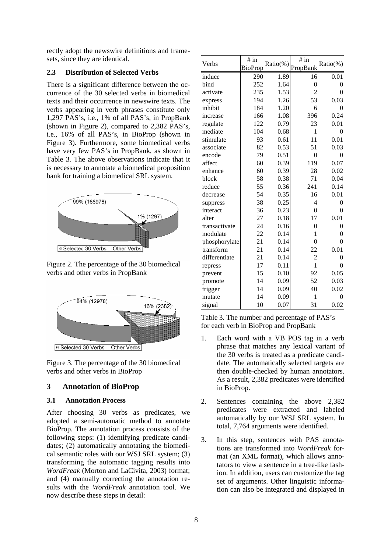rectly adopt the newswire definitions and framesets, since they are identical.

## **2.3 Distribution of Selected Verbs**

There is a significant difference between the occurrence of the 30 selected verbs in biomedical texts and their occurrence in newswire texts. The verbs appearing in verb phrases constitute only 1,297 PAS's, i.e., 1% of all PAS's, in PropBank (shown in Figure 2), compared to 2,382 PAS's, i.e., 16% of all PAS's, in BioProp (shown in Figure 3). Furthermore, some biomedical verbs have very few PAS's in PropBank, as shown in Table 3. The above observations indicate that it is necessary to annotate a biomedical proposition bank for training a biomedical SRL system.



Figure 2. The percentage of the 30 biomedical verbs and other verbs in PropBank



Figure 3. The percentage of the 30 biomedical verbs and other verbs in BioProp

## **3 Annotation of BioProp**

## **3.1 Annotation Process**

After choosing 30 verbs as predicates, we adopted a semi-automatic method to annotate BioProp. The annotation process consists of the following steps: (1) identifying predicate candidates; (2) automatically annotating the biomedical semantic roles with our WSJ SRL system; (3) transforming the automatic tagging results into *WordFreak* (Morton and LaCivita, 2003) format; and (4) manually correcting the annotation results with the *WordFreak* annotation tool. We now describe these steps in detail:

| Verbs         | # in    | Ratio(%) | # in<br>$Ratio(\%)$ |                  |
|---------------|---------|----------|---------------------|------------------|
|               | BioProp |          | PropBank            |                  |
| induce        | 290     | 1.89     | 16                  | 0.01             |
| bind          | 252     | 1.64     | $\theta$            | $\theta$         |
| activate      | 235     | 1.53     | $\overline{2}$      | $\overline{0}$   |
| express       | 194     | 1.26     | 53                  | 0.03             |
| inhibit       | 184     | 1.20     | 6                   | $\overline{0}$   |
| increase      | 166     | 1.08     | 396                 | 0.24             |
| regulate      | 122     | 0.79     | 23                  | 0.01             |
| mediate       | 104     | 0.68     | 1                   | $\theta$         |
| stimulate     | 93      | 0.61     | 11                  | 0.01             |
| associate     | 82      | 0.53     | 51                  | 0.03             |
| encode        | 79      | 0.51     | $\mathbf{0}$        | $\boldsymbol{0}$ |
| affect        | 60      | 0.39     | 119                 | 0.07             |
| enhance       | 60      | 0.39     | 28                  | 0.02             |
| block         | 58      | 0.38     | 71                  | 0.04             |
| reduce        | 55      | 0.36     | 241                 | 0.14             |
| decrease      | 54      | 0.35     | 16                  | 0.01             |
| suppress      | 38      | 0.25     | $\overline{4}$      | $\overline{0}$   |
| interact      | 36      | 0.23     | $\mathbf{0}$        | $\overline{0}$   |
| alter         | 27      | 0.18     | 17                  | 0.01             |
| transactivate | 24      | 0.16     | $\mathbf{0}$        | $\overline{0}$   |
| modulate      | 22      | 0.14     | 1                   | $\overline{0}$   |
| phosphorylate | 21      | 0.14     | $\theta$            | $\theta$         |
| transform     | 21      | 0.14     | 22                  | 0.01             |
| differentiate | 21      | 0.14     | $\overline{c}$      | $\mathbf{0}$     |
| repress       | 17      | 0.11     | $\mathbf{1}$        | $\theta$         |
| prevent       | 15      | 0.10     | 92                  | 0.05             |
| promote       | 14      | 0.09     | 52                  | 0.03             |
| trigger       | 14      | 0.09     | 40                  | 0.02             |
| mutate        | 14      | 0.09     | 1                   | 0                |
| signal        | 10      | 0.07     | 31                  | 0.02             |

Table 3. The number and percentage of PAS's for each verb in BioProp and PropBank

- 1. Each word with a VB POS tag in a verb phrase that matches any lexical variant of the 30 verbs is treated as a predicate candidate. The automatically selected targets are then double-checked by human annotators. As a result, 2,382 predicates were identified in BioProp.
- 2. Sentences containing the above 2,382 predicates were extracted and labeled automatically by our WSJ SRL system. In total, 7,764 arguments were identified.
- 3. In this step, sentences with PAS annotations are transformed into *WordFreak* format (an XML format), which allows annotators to view a sentence in a tree-like fashion. In addition, users can customize the tag set of arguments. Other linguistic information can also be integrated and displayed in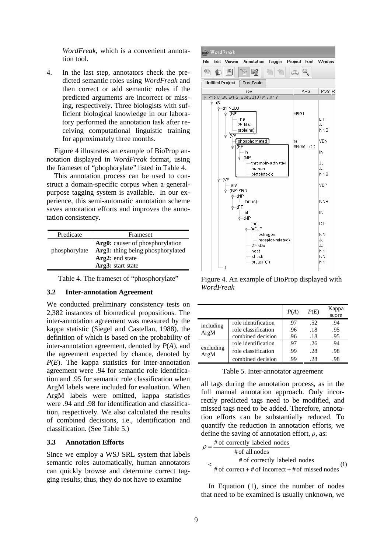*WordFreak*, which is a convenient annotation tool.

4. In the last step, annotators check the predicted semantic roles using *WordFreak* and then correct or add semantic roles if the predicted arguments are incorrect or missing, respectively. Three biologists with sufficient biological knowledge in our laboratory performed the annotation task after receiving computational linguistic training for approximately three months.

Figure 4 illustrates an example of BioProp annotation displayed in *WordFreak* format, using the frameset of "phophorylate" listed in Table 4.

This annotation process can be used to construct a domain-specific corpus when a generalpurpose tagging system is available. In our experience, this semi-automatic annotation scheme saves annotation efforts and improves the annotation consistency.

| Predicate     | Frameset                                                                                                    |  |
|---------------|-------------------------------------------------------------------------------------------------------------|--|
| phosphorylate | Arg0: causer of phosphorylation<br>Arg1: thing being phosphorylated<br>Arg2: end state<br>Arg3: start state |  |

Table 4. The frameset of "phosphorylate"

#### **3.2 Inter-annotation Agreement**

We conducted preliminary consistency tests on 2,382 instances of biomedical propositions. The inter-annotation agreement was measured by the kappa statistic (Siegel and Castellan, 1988), the definition of which is based on the probability of inter-annotation agreement, denoted by *P*(*A*), and the agreement expected by chance, denoted by *P*(*E*). The kappa statistics for inter-annotation agreement were .94 for semantic role identification and .95 for semantic role classification when ArgM labels were included for evaluation. When ArgM labels were omitted, kappa statistics were .94 and .98 for identification and classification, respectively. We also calculated the results of combined decisions, i.e., identification and classification. (See Table 5.)

#### **3.3 Annotation Efforts**

Since we employ a WSJ SRL system that labels semantic roles automatically, human annotators can quickly browse and determine correct tagging results; thus, they do not have to examine



Figure 4. An example of BioProp displayed with *WordFreak*

|                   |                     | P(A) | P(E) | Kappa<br>score |
|-------------------|---------------------|------|------|----------------|
| including         | role identification | .97  | .52  | .94            |
| ArgM              | role classification | .96  | .18  | .95            |
|                   | combined decision   | .96  | .18  | .95            |
|                   | role identification | .97  | .26  | .94            |
| excluding<br>ArgM | role classification | .99  | .28  | .98            |
|                   | combined decision   | .99  | .28  | .98            |

Table 5. Inter-annotator agreement

all tags during the annotation process, as in the full manual annotation approach. Only incorrectly predicted tags need to be modified, and missed tags need to be added. Therefore, annotation efforts can be substantially reduced. To quantify the reduction in annotation efforts, we define the saving of annotation effort, *ρ*, as:

| # of correctly labeled nodes                      |  |
|---------------------------------------------------|--|
| # of all nodes                                    |  |
| # of correctly labeled nodes                      |  |
| # of correct + # of incorrect + # of missed nodes |  |

In Equation (1), since the number of nodes that need to be examined is usually unknown, we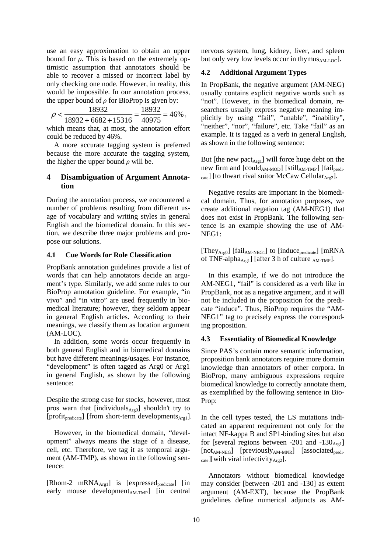use an easy approximation to obtain an upper bound for  $\rho$ . This is based on the extremely optimistic assumption that annotators should be able to recover a missed or incorrect label by only checking one node. However, in reality, this would be impossible. In our annotation process, the upper bound of  $\rho$  for BioProp is given by:

$$
\rho < \frac{18932}{18932 + 6682 + 15316} = \frac{18932}{40975} = 46\% \; ,
$$

which means that, at most, the annotation effort could be reduced by 46%.

A more accurate tagging system is preferred because the more accurate the tagging system, the higher the upper bound  $\rho$  will be.

## **4 Disambiguation of Argument Annotation**

During the annotation process, we encountered a number of problems resulting from different usage of vocabulary and writing styles in general English and the biomedical domain. In this section, we describe three major problems and propose our solutions.

#### **4.1 Cue Words for Role Classification**

PropBank annotation guidelines provide a list of words that can help annotators decide an argument's type. Similarly, we add some rules to our BioProp annotation guideline. For example, "in vivo" and "in vitro" are used frequently in biomedical literature; however, they seldom appear in general English articles. According to their meanings, we classify them as location argument (AM-LOC).

In addition, some words occur frequently in both general English and in biomedical domains but have different meanings/usages. For instance, "development" is often tagged as Arg0 or Arg1 in general English, as shown by the following sentence:

Despite the strong case for stocks, however, most pros warn that [individuals $A_{rg0}$ ] shouldn't try to [profit<sub>predicate</sub>] [from short-term developments $_{Arg1}$ ].

However, in the biomedical domain, "development" always means the stage of a disease, cell, etc. Therefore, we tag it as temporal argument (AM-TMP), as shown in the following sentence:

[Rhom-2 mRNA $_{Arg1}$ ] is [expressed<sub>predicate</sub>] [in early mouse development $_{AM-TMP}$ ] [in central nervous system, lung, kidney, liver, and spleen but only very low levels occur in thymus<sub>AM-LOC</sub>].

### **4.2 Additional Argument Types**

In PropBank, the negative argument (AM-NEG) usually contains explicit negative words such as "not". However, in the biomedical domain, researchers usually express negative meaning implicitly by using "fail", "unable", "inability", "neither", "nor", "failure", etc. Take "fail" as an example. It is tagged as a verb in general English, as shown in the following sentence:

But [the new pact $_{\text{Arg1}}$ ] will force huge debt on the new firm and  $[could_{AM\text{-}MOD}]$   $[still_{AM\text{-}TMP}]$   $[fail_{predict}]$  $_{\text{cate}}$ ] [to thwart rival suitor McCaw Cellular $_{\text{Arg2}}$ ].

Negative results are important in the biomedical domain. Thus, for annotation purposes, we create additional negation tag (AM-NEG1) that does not exist in PropBank. The following sentence is an example showing the use of AM-NEG1:

[They<sub>Arg0</sub>] [fail<sub>AM-NEG1</sub>] to [induce<sub>predicate</sub>] [mRNA of TNF-alpha<sub>Arg1</sub>] [after 3 h of culture <sub>AM-TMP</sub>].

In this example, if we do not introduce the AM-NEG1, "fail" is considered as a verb like in PropBank, not as a negative argument, and it will not be included in the proposition for the predicate "induce". Thus, BioProp requires the "AM-NEG1" tag to precisely express the corresponding proposition.

#### **4.3 Essentiality of Biomedical Knowledge**

Since PAS's contain more semantic information, proposition bank annotators require more domain knowledge than annotators of other corpora. In BioProp, many ambiguous expressions require biomedical knowledge to correctly annotate them, as exemplified by the following sentence in Bio-Prop:

In the cell types tested, the LS mutations indicated an apparent requirement not only for the intact NF-kappa B and SP1-binding sites but also for [several regions between -201 and  $-130_{\text{Arg1}}$ ]  $[not<sub>AM-NEG</sub>]$   $[previously<sub>AM-MNR</sub>]$   $[associated<sub>predict</sub>]$  $_{\text{cate}}$ ][with viral infectivity<sub>Arg2</sub>].

Annotators without biomedical knowledge may consider [between -201 and -130] as extent argument (AM-EXT), because the PropBank guidelines define numerical adjuncts as AM-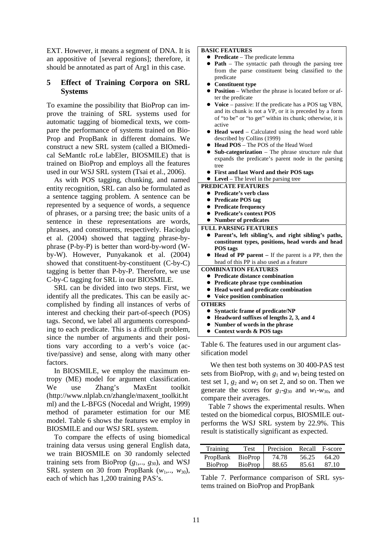EXT. However, it means a segment of DNA. It is an appositive of [several regions]; therefore, it should be annotated as part of Arg1 in this case.

## **5 Effect of Training Corpora on SRL Systems**

To examine the possibility that BioProp can improve the training of SRL systems used for automatic tagging of biomedical texts, we compare the performance of systems trained on Bio-Prop and PropBank in different domains. We construct a new SRL system (called a BIOmedical SeMantIc roLe labEler, BIOSMILE) that is trained on BioProp and employs all the features used in our WSJ SRL system (Tsai et al., 2006).

As with POS tagging, chunking, and named entity recognition, SRL can also be formulated as a sentence tagging problem. A sentence can be represented by a sequence of words, a sequence of phrases, or a parsing tree; the basic units of a sentence in these representations are words, phrases, and constituents, respectively. Hacioglu et al. (2004) showed that tagging phrase-byphrase (P-by-P) is better than word-by-word (Wby-W). However, Punyakanok et al. (2004) showed that constituent-by-constituent (C-by-C) tagging is better than P-by-P. Therefore, we use C-by-C tagging for SRL in our BIOSMILE.

SRL can be divided into two steps. First, we identify all the predicates. This can be easily accomplished by finding all instances of verbs of interest and checking their part-of-speech (POS) tags. Second, we label all arguments corresponding to each predicate. This is a difficult problem, since the number of arguments and their positions vary according to a verb's voice (active/passive) and sense, along with many other factors.

In BIOSMILE, we employ the maximum entropy (ME) model for argument classification. We use Zhang's MaxEnt toolkit (http://www.nlplab.cn/zhangle/maxent\_toolkit.ht ml) and the L-BFGS (Nocedal and Wright, 1999) method of parameter estimation for our ME model. Table 6 shows the features we employ in BIOSMILE and our WSJ SRL system.

To compare the effects of using biomedical training data versus using general English data, we train BIOSMILE on 30 randomly selected training sets from BioProp (*g*1,.., *g*30), and WSJ SRL system on 30 from PropBank  $(w_1,..., w_{30})$ , each of which has 1,200 training PAS's.

**BASIC FEATURES** 

- **Predicate** The predicate lemma
- **Path** The syntactic path through the parsing tree from the parse constituent being classified to the predicate
- z **Constituent type**
- **Position** Whether the phrase is located before or after the predicate
- Voice passive: If the predicate has a POS tag VBN, and its chunk is not a VP, or it is preceded by a form of "to be" or "to get" within its chunk; otherwise, it is active
- **Head word** Calculated using the head word table described by Collins (1999)
- Head POS The POS of the Head Word
- **Sub-categorization** The phrase structure rule that expands the predicate's parent node in the parsing tree
- z **First and last Word and their POS tags**
- Level The level in the parsing tree

#### **PREDICATE FEATURES**

- **•** Predicate's verb class
- **Predicate POS tag**
- **Predicate frequency**
- z **Predicate's context POS**
- z **Number of predicates**
- **FULL PARSING FEATURES**
- **•** Parent's, left sibling's, and right sibling's paths, **constituent types, positions, head words and head POS tags**
- **Head of PP parent** If the parent is a PP, then the head of this PP is also used as a feature

**COMBINATION FEATURES** 

- z **Predicate distance combination**
- Predicate phrase type combination
- Head word and predicate combination<br>● Voice position combination
- z **Voice position combination**

**OTHERS Syntactic frame of predicate/NP** 

- z **Headword suffixes of lengths 2, 3, and 4**
- z **Number of words in the phrase**
- z **Context words & POS tags**

Table 6. The features used in our argument classification model

 We then test both systems on 30 400-PAS test sets from BioProp, with  $g_1$  and  $w_1$  being tested on test set  $1, g_2$  and  $w_2$  on set 2, and so on. Then we generate the scores for  $g_1-g_{30}$  and  $w_1-w_{30}$ , and compare their averages.

Table 7 shows the experimental results. When tested on the biomedical corpus, BIOSMILE outperforms the WSJ SRL system by 22.9%. This result is statistically significant as expected.

| <b>Training</b> | Test           | Precision | Recall | F-score |
|-----------------|----------------|-----------|--------|---------|
| PropBank        | <b>BioProp</b> | 74.78     | 56.25  | 64.20   |
| <b>BioProp</b>  | BioProp        | 88.65     | 85.61  | 87.10   |

Table 7. Performance comparison of SRL systems trained on BioProp and PropBank